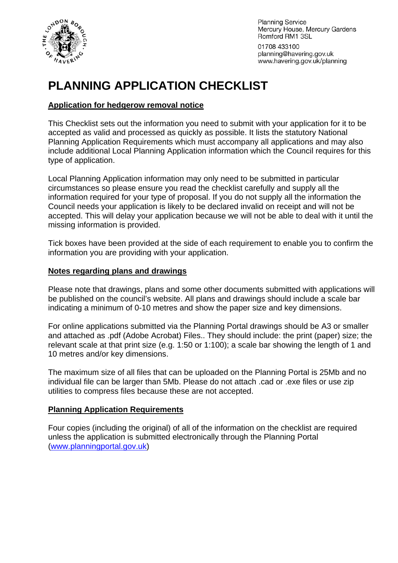

**Planning Service** Mercury House, Mercury Gardens Romford RM1 3SL

01708 433100 planning@havering.gov.uk www.havering.gov.uk/planning

# **PLANNING APPLICATION CHECKLIST**

## **Application for hedgerow removal notice**

This Checklist sets out the information you need to submit with your application for it to be accepted as valid and processed as quickly as possible. It lists the statutory National Planning Application Requirements which must accompany all applications and may also include additional Local Planning Application information which the Council requires for this type of application.

Local Planning Application information may only need to be submitted in particular circumstances so please ensure you read the checklist carefully and supply all the information required for your type of proposal. If you do not supply all the information the Council needs your application is likely to be declared invalid on receipt and will not be accepted. This will delay your application because we will not be able to deal with it until the missing information is provided.

Tick boxes have been provided at the side of each requirement to enable you to confirm the information you are providing with your application.

#### **Notes regarding plans and drawings**

Please note that drawings, plans and some other documents submitted with applications will be published on the council's website. All plans and drawings should include a scale bar indicating a minimum of 0-10 metres and show the paper size and key dimensions.

For online applications submitted via the Planning Portal drawings should be A3 or smaller and attached as .pdf (Adobe Acrobat) Files.. They should include: the print (paper) size; the relevant scale at that print size (e.g. 1:50 or 1:100); a scale bar showing the length of 1 and 10 metres and/or key dimensions.

The maximum size of all files that can be uploaded on the Planning Portal is 25Mb and no individual file can be larger than 5Mb. Please do not attach .cad or .exe files or use zip utilities to compress files because these are not accepted.

#### **Planning Application Requirements**

Four copies (including the original) of all of the information on the checklist are required unless the application is submitted electronically through the Planning Portal ([www.planningportal.gov.uk](http://www.planningportal.gov.uk/))